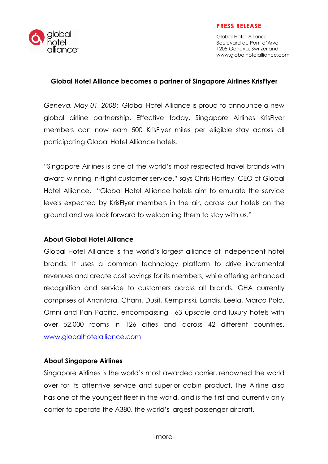

### PRESS RELEASE

Global Hotel Alliance Boulevard du Pont d'Arve 1205 Geneva, Switzerland www.globalhotelalliance.com

#### Global Hotel Alliance becomes a partner of Singapore Airlines KrisFlyer

Geneva, May 01, 2008: Global Hotel Alliance is proud to announce a new global airline partnership. Effective today, Singapore Airlines KrisFlyer members can now earn 500 KrisFlyer miles per eligible stay across all participating Global Hotel Alliance hotels.

"Singapore Airlines is one of the world's most respected travel brands with award winning in-flight customer service." says Chris Hartley, CEO of Global Hotel Alliance. "Global Hotel Alliance hotels aim to emulate the service levels expected by KrisFlyer members in the air, across our hotels on the ground and we look forward to welcoming them to stay with us."

## About Global Hotel Alliance

Global Hotel Alliance is the world's largest alliance of independent hotel brands. It uses a common technology platform to drive incremental revenues and create cost savings for its members, while offering enhanced recognition and service to customers across all brands. GHA currently comprises of Anantara, Cham, Dusit, Kempinski, Landis, Leela, Marco Polo, Omni and Pan Pacific, encompassing 163 upscale and luxury hotels with over 52,000 rooms in 126 cities and across 42 different countries. www.globalhotelalliance.com

## About Singapore Airlines

Singapore Airlines is the world's most awarded carrier, renowned the world over for its attentive service and superior cabin product. The Airline also has one of the youngest fleet in the world, and is the first and currently only carrier to operate the A380, the world's largest passenger aircraft.